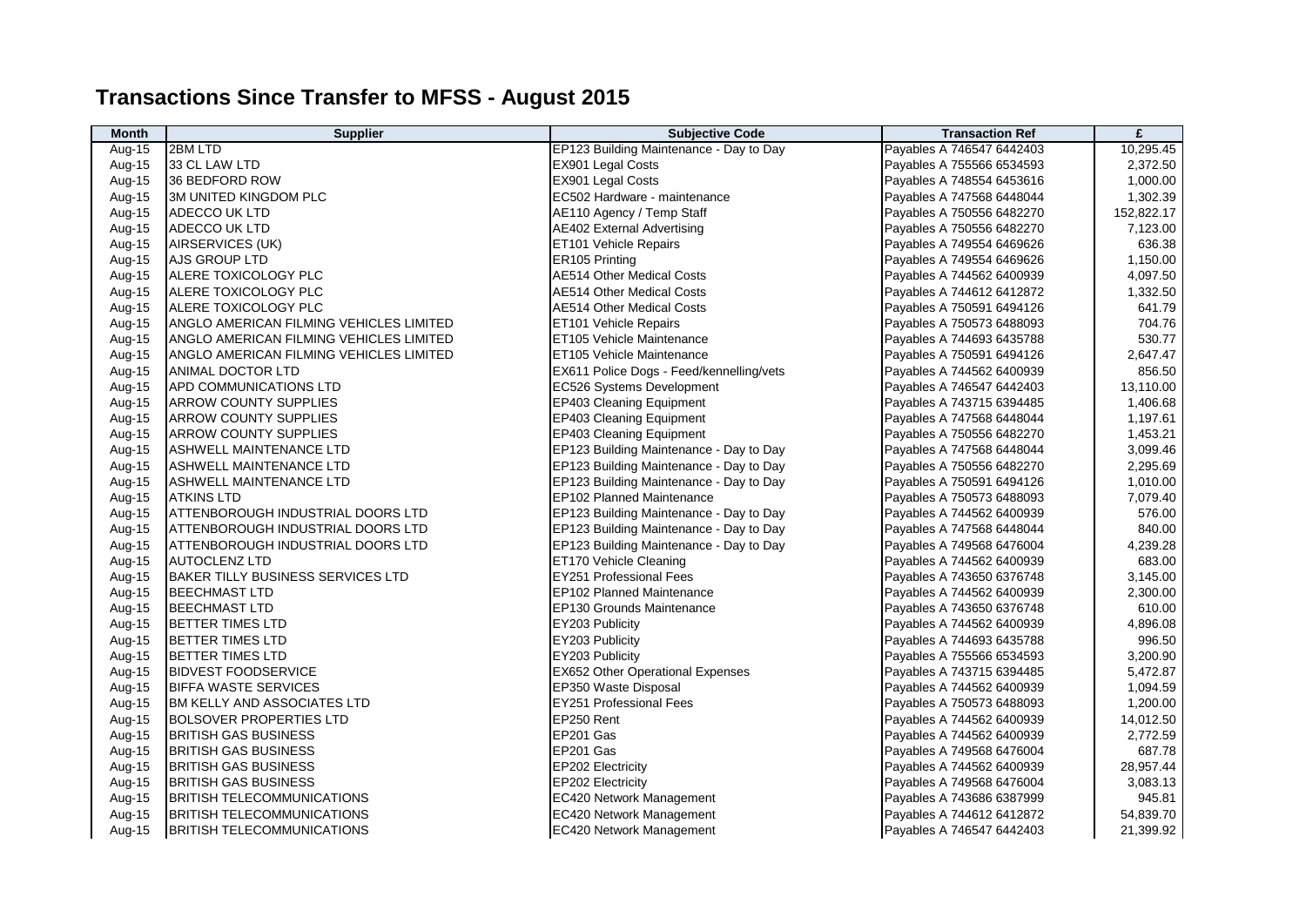## **Transactions Since Transfer to MFSS - August 2015**

| <b>Month</b> | <b>Supplier</b>                          | <b>Subjective Code</b>                   | <b>Transaction Ref</b>    | £          |
|--------------|------------------------------------------|------------------------------------------|---------------------------|------------|
| Aug-15       | 2BM LTD                                  | EP123 Building Maintenance - Day to Day  | Payables A 746547 6442403 | 10,295.45  |
| Aug-15       | 33 CL LAW LTD                            | <b>EX901 Legal Costs</b>                 | Payables A 755566 6534593 | 2,372.50   |
| Aug-15       | 36 BEDFORD ROW                           | EX901 Legal Costs                        | Payables A 748554 6453616 | 1,000.00   |
| Aug-15       | <b>3M UNITED KINGDOM PLC</b>             | EC502 Hardware - maintenance             | Payables A 747568 6448044 | 1,302.39   |
| Aug-15       | <b>ADECCO UK LTD</b>                     | AE110 Agency / Temp Staff                | Payables A 750556 6482270 | 152,822.17 |
| Aug-15       | <b>ADECCO UK LTD</b>                     | <b>AE402 External Advertising</b>        | Payables A 750556 6482270 | 7,123.00   |
| Aug-15       | AIRSERVICES (UK)                         | ET101 Vehicle Repairs                    | Payables A 749554 6469626 | 636.38     |
| Aug-15       | <b>AJS GROUP LTD</b>                     | ER105 Printing                           | Payables A 749554 6469626 | 1,150.00   |
| Aug-15       | <b>ALERE TOXICOLOGY PLC</b>              | <b>AE514 Other Medical Costs</b>         | Payables A 744562 6400939 | 4,097.50   |
| Aug-15       | <b>ALERE TOXICOLOGY PLC</b>              | <b>AE514 Other Medical Costs</b>         | Payables A 744612 6412872 | 1,332.50   |
| Aug-15       | ALERE TOXICOLOGY PLC                     | <b>AE514 Other Medical Costs</b>         | Payables A 750591 6494126 | 641.79     |
| Aug-15       | ANGLO AMERICAN FILMING VEHICLES LIMITED  | ET101 Vehicle Repairs                    | Payables A 750573 6488093 | 704.76     |
| Aug-15       | ANGLO AMERICAN FILMING VEHICLES LIMITED  | ET105 Vehicle Maintenance                | Payables A 744693 6435788 | 530.77     |
| Aug-15       | ANGLO AMERICAN FILMING VEHICLES LIMITED  | ET105 Vehicle Maintenance                | Payables A 750591 6494126 | 2,647.47   |
| Aug-15       | ANIMAL DOCTOR LTD                        | EX611 Police Dogs - Feed/kennelling/vets | Payables A 744562 6400939 | 856.50     |
| Aug-15       | APD COMMUNICATIONS LTD                   | EC526 Systems Development                | Payables A 746547 6442403 | 13,110.00  |
| Aug-15       | <b>ARROW COUNTY SUPPLIES</b>             | EP403 Cleaning Equipment                 | Payables A 743715 6394485 | 1,406.68   |
| Aug-15       | <b>ARROW COUNTY SUPPLIES</b>             | EP403 Cleaning Equipment                 | Payables A 747568 6448044 | 1,197.61   |
| Aug-15       | <b>ARROW COUNTY SUPPLIES</b>             | EP403 Cleaning Equipment                 | Payables A 750556 6482270 | 1,453.21   |
| Aug-15       | <b>ASHWELL MAINTENANCE LTD</b>           | EP123 Building Maintenance - Day to Day  | Payables A 747568 6448044 | 3,099.46   |
| Aug-15       | <b>ASHWELL MAINTENANCE LTD</b>           | EP123 Building Maintenance - Day to Day  | Payables A 750556 6482270 | 2,295.69   |
| Aug-15       | <b>ASHWELL MAINTENANCE LTD</b>           | EP123 Building Maintenance - Day to Day  | Payables A 750591 6494126 | 1,010.00   |
| Aug-15       | <b>ATKINS LTD</b>                        | EP102 Planned Maintenance                | Payables A 750573 6488093 | 7,079.40   |
| Aug-15       | <b>ATTENBOROUGH INDUSTRIAL DOORS LTD</b> | EP123 Building Maintenance - Day to Day  | Payables A 744562 6400939 | 576.00     |
| Aug-15       | ATTENBOROUGH INDUSTRIAL DOORS LTD        | EP123 Building Maintenance - Day to Day  | Payables A 747568 6448044 | 840.00     |
| Aug-15       | <b>ATTENBOROUGH INDUSTRIAL DOORS LTD</b> | EP123 Building Maintenance - Day to Day  | Payables A 749568 6476004 | 4,239.28   |
| Aug-15       | <b>AUTOCLENZ LTD</b>                     | ET170 Vehicle Cleaning                   | Payables A 744562 6400939 | 683.00     |
| Aug-15       | <b>BAKER TILLY BUSINESS SERVICES LTD</b> | <b>EY251 Professional Fees</b>           | Payables A 743650 6376748 | 3,145.00   |
| Aug-15       | <b>BEECHMAST LTD</b>                     | EP102 Planned Maintenance                | Payables A 744562 6400939 | 2,300.00   |
| Aug-15       | <b>BEECHMAST LTD</b>                     | EP130 Grounds Maintenance                | Payables A 743650 6376748 | 610.00     |
| Aug-15       | <b>BETTER TIMES LTD</b>                  | EY203 Publicity                          | Payables A 744562 6400939 | 4,896.08   |
| Aug-15       | <b>BETTER TIMES LTD</b>                  | EY203 Publicity                          | Payables A 744693 6435788 | 996.50     |
| Aug-15       | <b>BETTER TIMES LTD</b>                  | EY203 Publicity                          | Payables A 755566 6534593 | 3,200.90   |
| Aug-15       | <b>BIDVEST FOODSERVICE</b>               | EX652 Other Operational Expenses         | Payables A 743715 6394485 | 5,472.87   |
| Aug-15       | <b>BIFFA WASTE SERVICES</b>              | EP350 Waste Disposal                     | Payables A 744562 6400939 | 1,094.59   |
| Aug-15       | BM KELLY AND ASSOCIATES LTD              | <b>EY251 Professional Fees</b>           | Payables A 750573 6488093 | 1,200.00   |
| Aug-15       | BOLSOVER PROPERTIES LTD                  | EP250 Rent                               | Payables A 744562 6400939 | 14,012.50  |
| Aug-15       | <b>BRITISH GAS BUSINESS</b>              | EP201 Gas                                | Payables A 744562 6400939 | 2,772.59   |
| Aug-15       | <b>BRITISH GAS BUSINESS</b>              | EP201 Gas                                | Payables A 749568 6476004 | 687.78     |
| Aug-15       | <b>BRITISH GAS BUSINESS</b>              | EP202 Electricity                        | Payables A 744562 6400939 | 28,957.44  |
| Aug-15       | <b>BRITISH GAS BUSINESS</b>              | EP202 Electricity                        | Payables A 749568 6476004 | 3,083.13   |
| Aug-15       | <b>BRITISH TELECOMMUNICATIONS</b>        | EC420 Network Management                 | Payables A 743686 6387999 | 945.81     |
| Aug-15       | <b>BRITISH TELECOMMUNICATIONS</b>        | EC420 Network Management                 | Payables A 744612 6412872 | 54,839.70  |
| Aug-15       | <b>BRITISH TELECOMMUNICATIONS</b>        | <b>EC420 Network Management</b>          | Payables A 746547 6442403 | 21,399.92  |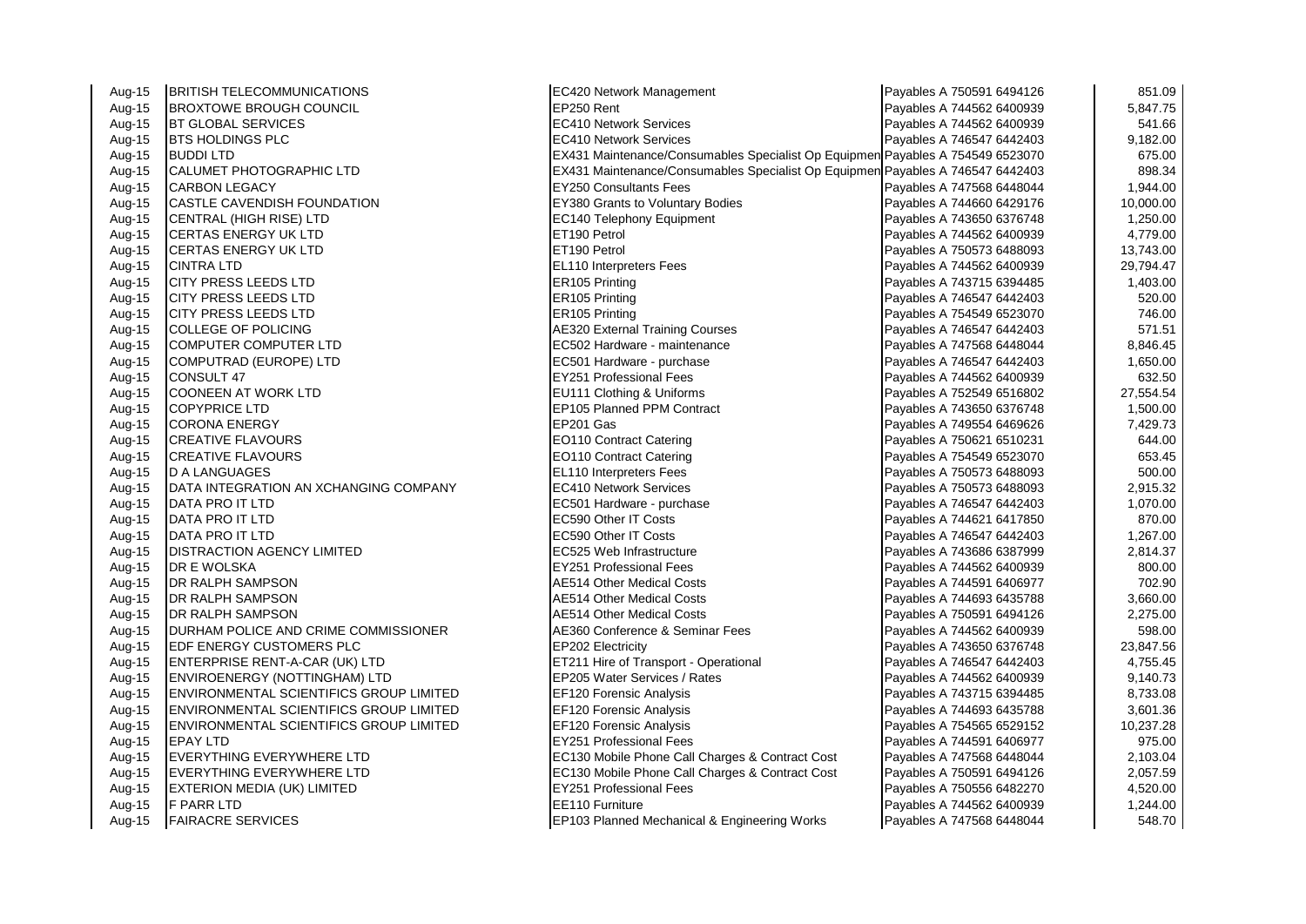| Aug-15 | <b>BRITISH TELECOMMUNICATIONS</b>       | EC420 Network Management                                                       | Payables A 750591 6494126 | 851.09    |
|--------|-----------------------------------------|--------------------------------------------------------------------------------|---------------------------|-----------|
| Aug-15 | <b>BROXTOWE BROUGH COUNCIL</b>          | EP250 Rent                                                                     | Payables A 744562 6400939 | 5,847.75  |
| Aug-15 | <b>BT GLOBAL SERVICES</b>               | <b>EC410 Network Services</b>                                                  | Payables A 744562 6400939 | 541.66    |
| Aug-15 | <b>BTS HOLDINGS PLC</b>                 | <b>EC410 Network Services</b>                                                  | Payables A 746547 6442403 | 9,182.00  |
| Aug-15 | <b>BUDDILTD</b>                         | EX431 Maintenance/Consumables Specialist Op Equipmen Payables A 754549 6523070 |                           | 675.00    |
| Aug-15 | CALUMET PHOTOGRAPHIC LTD                | EX431 Maintenance/Consumables Specialist Op Equipmen Payables A 746547 6442403 |                           | 898.34    |
| Aug-15 | <b>CARBON LEGACY</b>                    | <b>EY250 Consultants Fees</b>                                                  | Payables A 747568 6448044 | 1,944.00  |
| Aug-15 | <b>CASTLE CAVENDISH FOUNDATION</b>      | EY380 Grants to Voluntary Bodies                                               | Payables A 744660 6429176 | 10,000.00 |
| Aug-15 | CENTRAL (HIGH RISE) LTD                 | EC140 Telephony Equipment                                                      | Payables A 743650 6376748 | 1,250.00  |
| Aug-15 | <b>CERTAS ENERGY UK LTD</b>             | ET190 Petrol                                                                   | Payables A 744562 6400939 | 4,779.00  |
| Aug-15 | <b>CERTAS ENERGY UK LTD</b>             | ET190 Petrol                                                                   | Payables A 750573 6488093 | 13,743.00 |
| Aug-15 | <b>CINTRA LTD</b>                       | EL110 Interpreters Fees                                                        | Payables A 744562 6400939 | 29,794.47 |
| Aug-15 | <b>CITY PRESS LEEDS LTD</b>             | ER105 Printing                                                                 | Payables A 743715 6394485 | 1,403.00  |
| Aug-15 | CITY PRESS LEEDS LTD                    | ER105 Printing                                                                 | Payables A 746547 6442403 | 520.00    |
| Aug-15 | CITY PRESS LEEDS LTD                    | ER105 Printing                                                                 | Payables A 754549 6523070 | 746.00    |
| Aug-15 | <b>COLLEGE OF POLICING</b>              | <b>AE320 External Training Courses</b>                                         | Payables A 746547 6442403 | 571.51    |
| Aug-15 | COMPUTER COMPUTER LTD                   | EC502 Hardware - maintenance                                                   | Payables A 747568 6448044 | 8,846.45  |
| Aug-15 | COMPUTRAD (EUROPE) LTD                  | EC501 Hardware - purchase                                                      | Payables A 746547 6442403 | 1,650.00  |
| Aug-15 | CONSULT 47                              | <b>EY251 Professional Fees</b>                                                 | Payables A 744562 6400939 | 632.50    |
| Aug-15 | <b>COONEEN AT WORK LTD</b>              | EU111 Clothing & Uniforms                                                      | Payables A 752549 6516802 | 27,554.54 |
| Aug-15 | <b>COPYPRICE LTD</b>                    | EP105 Planned PPM Contract                                                     | Payables A 743650 6376748 | 1,500.00  |
| Aug-15 | <b>CORONA ENERGY</b>                    | EP201 Gas                                                                      | Payables A 749554 6469626 | 7,429.73  |
| Aug-15 | <b>CREATIVE FLAVOURS</b>                | EO110 Contract Catering                                                        | Payables A 750621 6510231 | 644.00    |
| Aug-15 | <b>CREATIVE FLAVOURS</b>                | EO110 Contract Catering                                                        | Payables A 754549 6523070 | 653.45    |
| Aug-15 | <b>D A LANGUAGES</b>                    | EL110 Interpreters Fees                                                        | Payables A 750573 6488093 | 500.00    |
| Aug-15 | DATA INTEGRATION AN XCHANGING COMPANY   | <b>EC410 Network Services</b>                                                  | Payables A 750573 6488093 | 2,915.32  |
| Aug-15 | DATA PRO IT LTD                         | EC501 Hardware - purchase                                                      | Payables A 746547 6442403 | 1,070.00  |
| Aug-15 | DATA PRO IT LTD                         | EC590 Other IT Costs                                                           | Payables A 744621 6417850 | 870.00    |
| Aug-15 | DATA PRO IT LTD                         | EC590 Other IT Costs                                                           | Payables A 746547 6442403 | 1,267.00  |
| Aug-15 | <b>DISTRACTION AGENCY LIMITED</b>       | EC525 Web Infrastructure                                                       | Payables A 743686 6387999 | 2,814.37  |
| Aug-15 | DR E WOLSKA                             | <b>EY251 Professional Fees</b>                                                 | Payables A 744562 6400939 | 800.00    |
| Aug-15 | DR RALPH SAMPSON                        | AE514 Other Medical Costs                                                      | Payables A 744591 6406977 | 702.90    |
| Aug-15 | DR RALPH SAMPSON                        | AE514 Other Medical Costs                                                      | Payables A 744693 6435788 | 3,660.00  |
| Aug-15 | DR RALPH SAMPSON                        | AE514 Other Medical Costs                                                      | Payables A 750591 6494126 | 2,275.00  |
| Aug-15 | DURHAM POLICE AND CRIME COMMISSIONER    | AE360 Conference & Seminar Fees                                                | Payables A 744562 6400939 | 598.00    |
| Aug-15 | EDF ENERGY CUSTOMERS PLC                | EP202 Electricity                                                              | Payables A 743650 6376748 | 23,847.56 |
| Aug-15 | ENTERPRISE RENT-A-CAR (UK) LTD          | ET211 Hire of Transport - Operational                                          | Payables A 746547 6442403 | 4,755.45  |
| Aug-15 | ENVIROENERGY (NOTTINGHAM) LTD           | EP205 Water Services / Rates                                                   | Payables A 744562 6400939 | 9,140.73  |
| Aug-15 | ENVIRONMENTAL SCIENTIFICS GROUP LIMITED | EF120 Forensic Analysis                                                        | Payables A 743715 6394485 | 8,733.08  |
| Aug-15 | ENVIRONMENTAL SCIENTIFICS GROUP LIMITED | EF120 Forensic Analysis                                                        | Payables A 744693 6435788 | 3,601.36  |
| Aug-15 | ENVIRONMENTAL SCIENTIFICS GROUP LIMITED | EF120 Forensic Analysis                                                        | Payables A 754565 6529152 | 10,237.28 |
| Aug-15 | <b>EPAY LTD</b>                         | EY251 Professional Fees                                                        | Payables A 744591 6406977 | 975.00    |
| Aug-15 | EVERYTHING EVERYWHERE LTD               | EC130 Mobile Phone Call Charges & Contract Cost                                | Payables A 747568 6448044 | 2,103.04  |
| Aug-15 | EVERYTHING EVERYWHERE LTD               | EC130 Mobile Phone Call Charges & Contract Cost                                | Payables A 750591 6494126 | 2,057.59  |
| Aug-15 | EXTERION MEDIA (UK) LIMITED             | <b>EY251 Professional Fees</b>                                                 | Payables A 750556 6482270 | 4,520.00  |
| Aug-15 | F PARR LTD                              | EE110 Furniture                                                                | Payables A 744562 6400939 | 1,244.00  |
| Aug-15 | <b>FAIRACRE SERVICES</b>                | EP103 Planned Mechanical & Engineering Works                                   | Payables A 747568 6448044 | 548.70    |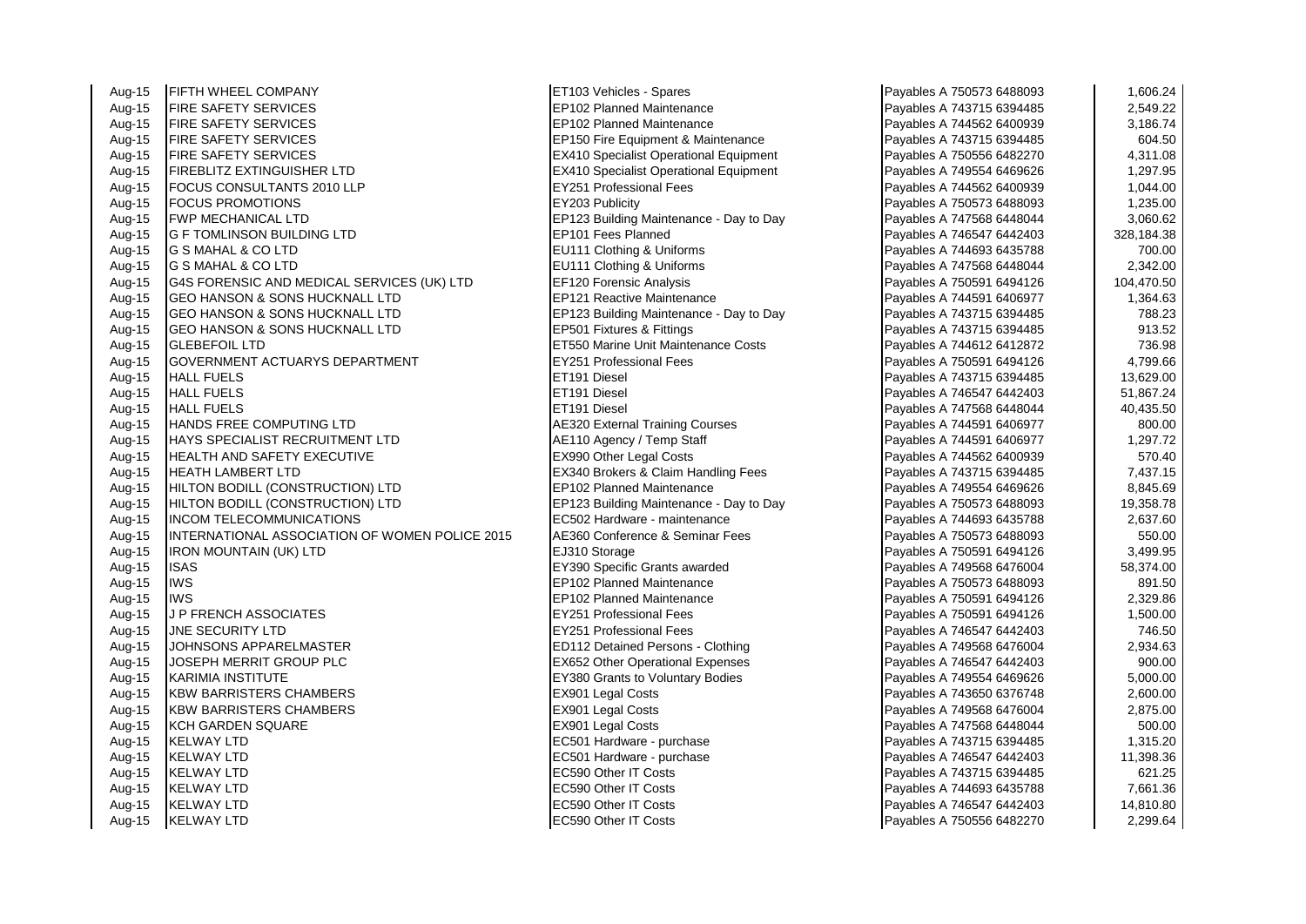Aug-15 FIFTH WHEEL COMPANY ET103 Vehicles - Spares Aug-15 FIRE SAFETY SERVICES EPREMIER AND REPAIR REPORT PLANNISHED AND REPORT PAYABLE A 743715 FIRE SAFETY SERVICES Aug-15 |FIRE SAFETY SERVICES |EP102 Planned Maintenance 3,186.74 Aug-15 FIRE SAFETY SERVICES EXAMPLE THE SAFETY SERVICES EQUIPMENT A 743715 6394 FIRE SAFETY SERVICES Aug-15 FIRE SAFETY SERVICES EXAMPLE RESOLUTION Specialist Operational Equipment Aug-15 FIREBLITZ EXTINGUISHER LTD EX410 Specialist Operational Equipment<br>Aug-15 FOCUS CONSULTANTS 2010 LLP FRAGE CHANNEL EY251 Professional Fees Aug-15 FOCUS CONSULTANTS 2010 LLP EX251 Professional Features Aug. 15 Aug. 15 Aug. 15 Aug. 15 Aug. 16 Aug. 16<br>Aug-15 FOCUS PROMOTIONS Aug-15 FOCUS PROMOTIONS EY203 Publicity Payables A 750573 6488093 1,235.00 Aug-15 FWP MECHANICAL LTD EP123 Building Maintenance - Day to Day Aug-15 G F TOMLINSON BUILDING LTD EP101 Fees Planned Aug-15 G S MAHAL & CO LTD EU111 Clothing & Uniforms Aug-15 G S MAHAL & CO LTD<br>Aug-15 G4S FORENSIC AND MEDICAL SERVICES (UK) LTD FE120 Forensic Analysis Aug-15 G4S FORENSIC AND MEDICAL SERVICES (UK) LTD EF120 Forensic Analysis<br>Aug-15 GEO HANSON & SONS HUCKNALL LTD EP121 Reactive Maintenance Aug-15 GEO HANSON & SONS HUCKNALL LTD Aug-15 GEO HANSON & SONS HUCKNALL LTD EP123 Building Maintenance - Day to Day<br>Aug-15 GEO HANSON & SONS HUCKNALL LTD FRESO1 Fixtures & Fittings Aug-15 GEO HANSON & SONS HUCKNALL LTD Aug-15 GLEBEFOIL LTD<br>Aug-15 GOVERNMENT ACTUARYS DEPARTMENT FREE FY251 Professional Fees Aug-15 GOVERNMENT ACTUARYS DEPARTMENT FREE RESERVES Professional FEE PAYS Professional Feed of the A<br>Aug-15 HALL FUELS Aug-15 HALL FUELS ET191 Diesel Payables A 743715 6394485 13,629.00 Aug-15 HALL FUELS ET191 Diesel Payables A 746547 6442403 51,867.24 Aug-15 HALL FUELS ET191 Diesel Payables A 747568 6448044 40,435.50 Aug-15 HANDS FREE COMPUTING LTD **AUGEST AE320 External Training Courses** Aug-15 HAYS SPECIALIST RECRUITMENT LTD Aug-15 HAYS SPECIALIST RECRUITMENT LTD 
<br>
Aug-15 HEALTH AND SAFETY EXECUTIVE 
Aug-15 HEALTH AND SAFETY EXECUTIVE Aug-15 | HEALTH AND SAFETY EXECUTIVE Aug-15 HEATH LAMBERT LTD EX340 Brokers & Claim Handling Fees Payables A 743715 6394485 7,437.15 Aug-15 **HILTON BODILL (CONSTRUCTION) LTD** Aug-15 HILTON BODILL (CONSTRUCTION) LTD **EP123** Building Maintenance - Day to Day Aug-15 INCOM TELECOMMUNICATIONS INCOMENTIES EC502 Hardware - maintenance<br>Aug-15 INTERNATIONAL ASSOCIATION OF WOMEN POLICE 2015 AE360 Conference & Seminar Fees Aug-15 **INTERNATIONAL ASSOCIATION OF WOMEN POLICE 2015** Aug-15 **IRON MOUNTAIN (UK) LTD EXAMPLE A 750591 64941 F** 7390 Storage Payables A 75051 64941 64941 64941 64941<br>Aug-15 ISAS Aug-15 ISAS **ISAS** EY390 Specific Grants awarded Aug-15 IWS **IWS EP102 Planned Maintenance** Aug-15 |IWS **IWS EP102 Planned Maintenance** Aug-15 J P FRENCH ASSOCIATES EX251 Professional Fees Aug-15 JNE SECURITY LTD<br>Aug-15 JOHNSONS APPAREI MASTER FROM THE RESONANCE RESONS Aug-15 JOHNSONS APPARELMASTER ED112 Detained Persons - Clothing Aug-15 JOSEPH MERRIT GROUP PLC **EXAMPLE 2000.** EX652 Other Operational Expenses Aug-15 KARIMIA INSTITUTE **EXAM** EX380 Grants to Voluntary Bodies Aug-15 KBW BARRISTERS CHAMBERS **EX901** Legal Costs Aug-15 KBW BARRISTERS CHAMBERS FREE CHAMBERS EX901 Legal Costs Payables A 749568 64766 64766 64766 64766 6476<br>Payable Rand Costs Payables A 74961 64766 64766 64766 647604 2,875.0004 64766 64766 64766 64766 6476 Aug-15 KCH GARDEN SQUARE Aug-15 KELWAY LTD **Example 2018** Research 2019 **FC501** Hardware - purchase Aug-15 KELWAY LTD **EXECUTE A 746 FOR 1999.** EC501 Hardware - purchase Aug-15 KELWAY LTD EC590 Other IT Costs Payables A 743715 6394485 621.25 Aug-15 KELWAY LTD EC590 Other IT Costs Payables A 744693 6435788 7,661.36 Aug-15 KELWAY LTD **EXECUTE A 746 FM 2018 120 AUGUST 2018** FC590 Other IT Costs Aug-15 KELWAY LTD **EC590 Other IT Costs** Payables A 750556 6482270 2,299.648270 2,299.648270 2,299.648270 2,299.6482

| Payables A 750573 6488093                              | 1,606.24             |
|--------------------------------------------------------|----------------------|
| Payables A 743715 6394485                              | 2,549.22             |
| Payables A 744562 6400939                              | 3,186.74             |
| Payables A 743715 6394485                              | 604.50               |
| Payables A 750556 6482270                              | 4,311.08             |
| Payables A 749554 6469626                              | 1,297.95             |
| Payables A 744562 6400939                              | 1,044.00             |
| Payables A 750573 6488093                              | 1,235.00             |
| Payables A 747568 6448044                              | 3,060.62             |
| Payables A 746547 6442403                              | 328,184.38           |
| Payables A 744693 6435788                              | 700.00               |
| Payables A 747568 6448044                              | 2,342.00             |
| Payables A 750591 6494126                              | 104,470.50           |
| Payables A 744591 6406977                              | 1,364.63             |
| Payables A 743715 6394485                              | 788.23               |
| Payables A 743715 6394485                              | 913.52               |
| Payables A 744612 6412872                              | 736.98               |
| Payables A 750591 6494126                              | 4,799.66             |
| Payables A 743715 6394485                              | 13,629.00            |
| Payables A 746547 6442403                              | 51,867.24            |
| Payables A 747568 6448044                              | 40,435.50            |
| Payables A 744591 6406977                              | 800.00               |
| Payables A 744591 6406977                              | 1,297.72             |
| Payables A 744562 6400939                              | 570.40               |
| Payables A 743715 6394485                              | 7,437.15             |
| Payables A 749554 6469626                              | 8,845.69             |
| Payables A 750573 6488093                              | 19,358.78            |
| Payables A 744693 6435788                              | 2,637.60             |
| Payables A 750573 6488093                              | 550.00               |
| Payables A 750591 6494126                              | 3,499.95             |
| Payables A 749568 6476004                              | 58,374.00            |
| Payables A 750573 6488093                              | 891.50               |
| Payables A 750591 6494126                              | 2,329.86             |
| Payables A 750591 6494126                              | 1,500.00             |
| Payables A 746547 6442403                              | 746.50               |
| Payables A 749568 6476004                              | 2,934.63             |
| Payables A 746547 6442403<br>Payables A 749554 6469626 | 900.00               |
| Payables A 743650 6376748                              | 5,000.00<br>2,600.00 |
| Payables A 749568 6476004                              | 2,875.00             |
| Payables A 747568 6448044                              | 500.00               |
| Payables A 743715 6394485                              | 1,315.20             |
| Payables A 746547 6442403                              | 11,398.36            |
| Payables A 743715 6394485                              | 621.25               |
| Payables A 744693 6435788                              | 7,661.36             |
| Payables A 746547 6442403                              | 14,810.80            |
| Payables A 750556 6482270                              | 2,299.64             |
|                                                        |                      |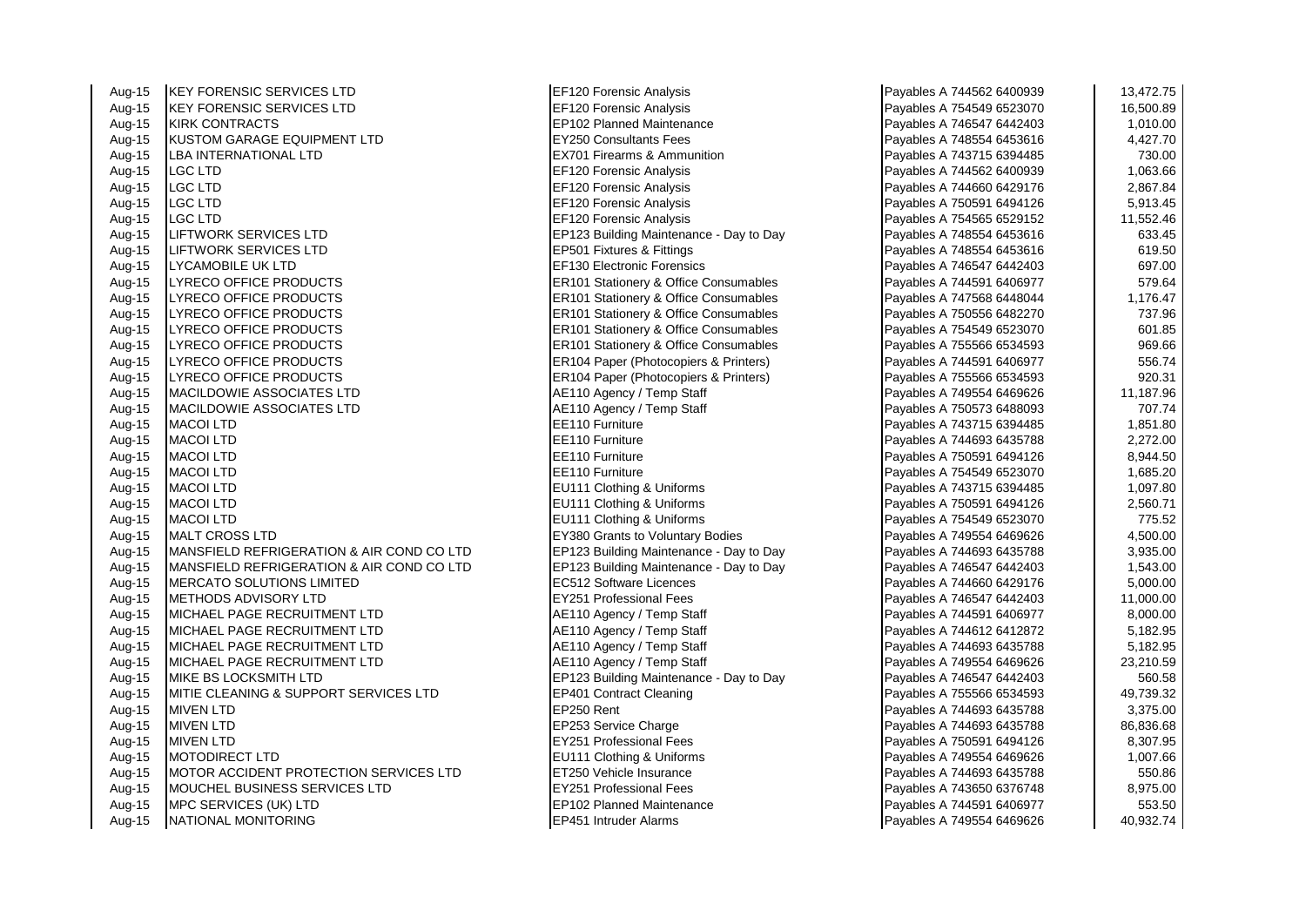| Aug-15 | KEY FORENSIC SERVICES LTD                 | EF120 Forensic Analysis                 | Payables A 744562 6400939 | 13,472.75 |
|--------|-------------------------------------------|-----------------------------------------|---------------------------|-----------|
| Aug-15 | <b>KEY FORENSIC SERVICES LTD</b>          | <b>EF120 Forensic Analysis</b>          | Payables A 754549 6523070 | 16,500.89 |
| Aug-15 | <b>KIRK CONTRACTS</b>                     | EP102 Planned Maintenance               | Payables A 746547 6442403 | 1,010.00  |
| Aug-15 | KUSTOM GARAGE EQUIPMENT LTD               | <b>EY250 Consultants Fees</b>           | Payables A 748554 6453616 | 4,427.70  |
| Aug-15 | <b>LBA INTERNATIONAL LTD</b>              | <b>EX701 Firearms &amp; Ammunition</b>  | Payables A 743715 6394485 | 730.00    |
| Aug-15 | <b>LGC LTD</b>                            | EF120 Forensic Analysis                 | Payables A 744562 6400939 | 1,063.66  |
| Aug-15 | LGC LTD                                   | <b>EF120 Forensic Analysis</b>          | Payables A 744660 6429176 | 2,867.84  |
| Aug-15 | <b>LGC LTD</b>                            | <b>EF120 Forensic Analysis</b>          | Payables A 750591 6494126 | 5,913.45  |
| Aug-15 | <b>LGC LTD</b>                            | EF120 Forensic Analysis                 | Payables A 754565 6529152 | 11,552.46 |
| Aug-15 | LIFTWORK SERVICES LTD                     | EP123 Building Maintenance - Day to Day | Payables A 748554 6453616 | 633.45    |
| Aug-15 | LIFTWORK SERVICES LTD                     | EP501 Fixtures & Fittings               | Payables A 748554 6453616 | 619.50    |
| Aug-15 | LYCAMOBILE UK LTD                         | EF130 Electronic Forensics              | Payables A 746547 6442403 | 697.00    |
| Aug-15 | LYRECO OFFICE PRODUCTS                    | ER101 Stationery & Office Consumables   | Payables A 744591 6406977 | 579.64    |
| Aug-15 | LYRECO OFFICE PRODUCTS                    | ER101 Stationery & Office Consumables   | Payables A 747568 6448044 | 1,176.47  |
| Aug-15 | LYRECO OFFICE PRODUCTS                    | ER101 Stationery & Office Consumables   | Payables A 750556 6482270 | 737.96    |
| Aug-15 | LYRECO OFFICE PRODUCTS                    | ER101 Stationery & Office Consumables   | Payables A 754549 6523070 | 601.85    |
| Aug-15 | LYRECO OFFICE PRODUCTS                    | ER101 Stationery & Office Consumables   | Payables A 755566 6534593 | 969.66    |
| Aug-15 | LYRECO OFFICE PRODUCTS                    | ER104 Paper (Photocopiers & Printers)   | Payables A 744591 6406977 | 556.74    |
| Aug-15 | LYRECO OFFICE PRODUCTS                    | ER104 Paper (Photocopiers & Printers)   | Payables A 755566 6534593 | 920.31    |
| Aug-15 | <b>MACILDOWIE ASSOCIATES LTD</b>          | AE110 Agency / Temp Staff               | Payables A 749554 6469626 | 11,187.96 |
| Aug-15 | <b>MACILDOWIE ASSOCIATES LTD</b>          | AE110 Agency / Temp Staff               | Payables A 750573 6488093 | 707.74    |
| Aug-15 | <b>MACOI LTD</b>                          | EE110 Furniture                         | Payables A 743715 6394485 | 1,851.80  |
| Aug-15 | <b>MACOI LTD</b>                          | EE110 Furniture                         | Payables A 744693 6435788 | 2,272.00  |
| Aug-15 | <b>MACOI LTD</b>                          | EE110 Furniture                         | Payables A 750591 6494126 | 8,944.50  |
| Aug-15 | <b>MACOI LTD</b>                          | EE110 Furniture                         | Payables A 754549 6523070 | 1,685.20  |
| Aug-15 | <b>MACOI LTD</b>                          | EU111 Clothing & Uniforms               | Payables A 743715 6394485 | 1,097.80  |
| Aug-15 | <b>MACOI LTD</b>                          | EU111 Clothing & Uniforms               | Payables A 750591 6494126 | 2,560.71  |
| Aug-15 | <b>MACOI LTD</b>                          | EU111 Clothing & Uniforms               | Payables A 754549 6523070 | 775.52    |
| Aug-15 | <b>MALT CROSS LTD</b>                     | EY380 Grants to Voluntary Bodies        | Payables A 749554 6469626 | 4,500.00  |
| Aug-15 | MANSFIELD REFRIGERATION & AIR COND CO LTD | EP123 Building Maintenance - Day to Day | Payables A 744693 6435788 | 3,935.00  |
| Aug-15 | MANSFIELD REFRIGERATION & AIR COND CO LTD | EP123 Building Maintenance - Day to Day | Payables A 746547 6442403 | 1,543.00  |
| Aug-15 | MERCATO SOLUTIONS LIMITED                 | EC512 Software Licences                 | Payables A 744660 6429176 | 5,000.00  |
| Aug-15 | <b>METHODS ADVISORY LTD</b>               | <b>EY251 Professional Fees</b>          | Payables A 746547 6442403 | 11,000.00 |
| Aug-15 | MICHAEL PAGE RECRUITMENT LTD              | AE110 Agency / Temp Staff               | Payables A 744591 6406977 | 8,000.00  |
| Aug-15 | MICHAEL PAGE RECRUITMENT LTD              | AE110 Agency / Temp Staff               | Payables A 744612 6412872 | 5,182.95  |
| Aug-15 | <b>MICHAEL PAGE RECRUITMENT LTD</b>       | AE110 Agency / Temp Staff               | Payables A 744693 6435788 | 5,182.95  |
| Aug-15 | MICHAEL PAGE RECRUITMENT LTD              | AE110 Agency / Temp Staff               | Payables A 749554 6469626 | 23,210.59 |
| Aug-15 | <b>MIKE BS LOCKSMITH LTD</b>              | EP123 Building Maintenance - Day to Day | Payables A 746547 6442403 | 560.58    |
| Aug-15 | MITIE CLEANING & SUPPORT SERVICES LTD     | <b>EP401 Contract Cleaning</b>          | Payables A 755566 6534593 | 49,739.32 |
| Aug-15 | <b>MIVEN LTD</b>                          | EP250 Rent                              | Payables A 744693 6435788 | 3,375.00  |
| Aug-15 | <b>MIVEN LTD</b>                          | EP253 Service Charge                    | Payables A 744693 6435788 | 86,836.68 |
| Aug-15 | <b>MIVEN LTD</b>                          | <b>EY251 Professional Fees</b>          | Payables A 750591 6494126 | 8,307.95  |
| Aug-15 | <b>MOTODIRECT LTD</b>                     | EU111 Clothing & Uniforms               | Payables A 749554 6469626 | 1,007.66  |
| Aug-15 | MOTOR ACCIDENT PROTECTION SERVICES LTD    | ET250 Vehicle Insurance                 | Payables A 744693 6435788 | 550.86    |
| Aug-15 | MOUCHEL BUSINESS SERVICES LTD             | EY251 Professional Fees                 | Payables A 743650 6376748 | 8,975.00  |
| Aug-15 | MPC SERVICES (UK) LTD                     | EP102 Planned Maintenance               | Payables A 744591 6406977 | 553.50    |
| Aug-15 | <b>NATIONAL MONITORING</b>                | <b>EP451 Intruder Alarms</b>            | Payables A 749554 6469626 | 40,932.74 |

**EF120 Forensic Analysis** 

| Payables A 744562 6400939 | 13,472.75 |
|---------------------------|-----------|
| Payables A 754549 6523070 | 16,500.89 |
| Payables A 746547 6442403 | 1,010.00  |
| Payables A 748554 6453616 | 4,427.70  |
| Payables A 743715 6394485 | 730.00    |
| Payables A 744562 6400939 | 1,063.66  |
| Payables A 744660 6429176 | 2,867.84  |
| Payables A 750591 6494126 | 5,913.45  |
| Payables A 754565 6529152 | 11,552.46 |
| Payables A 748554 6453616 | 633.45    |
| Payables A 748554 6453616 | 619.50    |
| Payables A 746547 6442403 | 697.00    |
| Payables A 744591 6406977 | 579.64    |
| Payables A 747568 6448044 | 1,176.47  |
| Payables A 750556 6482270 | 737.96    |
| Payables A 754549 6523070 | 601.85    |
| Payables A 755566 6534593 | 969.66    |
| Payables A 744591 6406977 | 556.74    |
| Payables A 755566 6534593 | 920.31    |
| Payables A 749554 6469626 | 11,187.96 |
| Payables A 750573 6488093 | 707.74    |
| Payables A 743715 6394485 | 1,851.80  |
| Payables A 744693 6435788 | 2,272.00  |
| Payables A 750591 6494126 | 8,944.50  |
| Payables A 754549 6523070 | 1,685.20  |
| Payables A 743715 6394485 | 1,097.80  |
| Payables A 750591 6494126 | 2,560.71  |
| Payables A 754549 6523070 | 775.52    |
| Payables A 749554 6469626 | 4,500.00  |
| Payables A 744693 6435788 | 3,935.00  |
| Payables A 746547 6442403 | 1,543.00  |
| Payables A 744660 6429176 | 5,000.00  |
| Payables A 746547 6442403 | 11,000.00 |
| Payables A 744591 6406977 | 8,000.00  |
| Payables A 744612 6412872 | 5,182.95  |
| Payables A 744693 6435788 | 5,182.95  |
| Payables A 749554 6469626 | 23,210.59 |
| Payables A 746547 6442403 | 560.58    |
| Payables A 755566 6534593 | 49,739.32 |
| Payables A 744693 6435788 | 3,375.00  |
| Payables A 744693 6435788 | 86,836.68 |
| Payables A 750591 6494126 | 8,307.95  |
| Payables A 749554 6469626 | 1,007.66  |
| Payables A 744693 6435788 | 550.86    |
| Payables A 743650 6376748 | 8,975.00  |
| Payables A 744591 6406977 | 553.50    |
| Pavables A 749554 6469626 | 40.932.74 |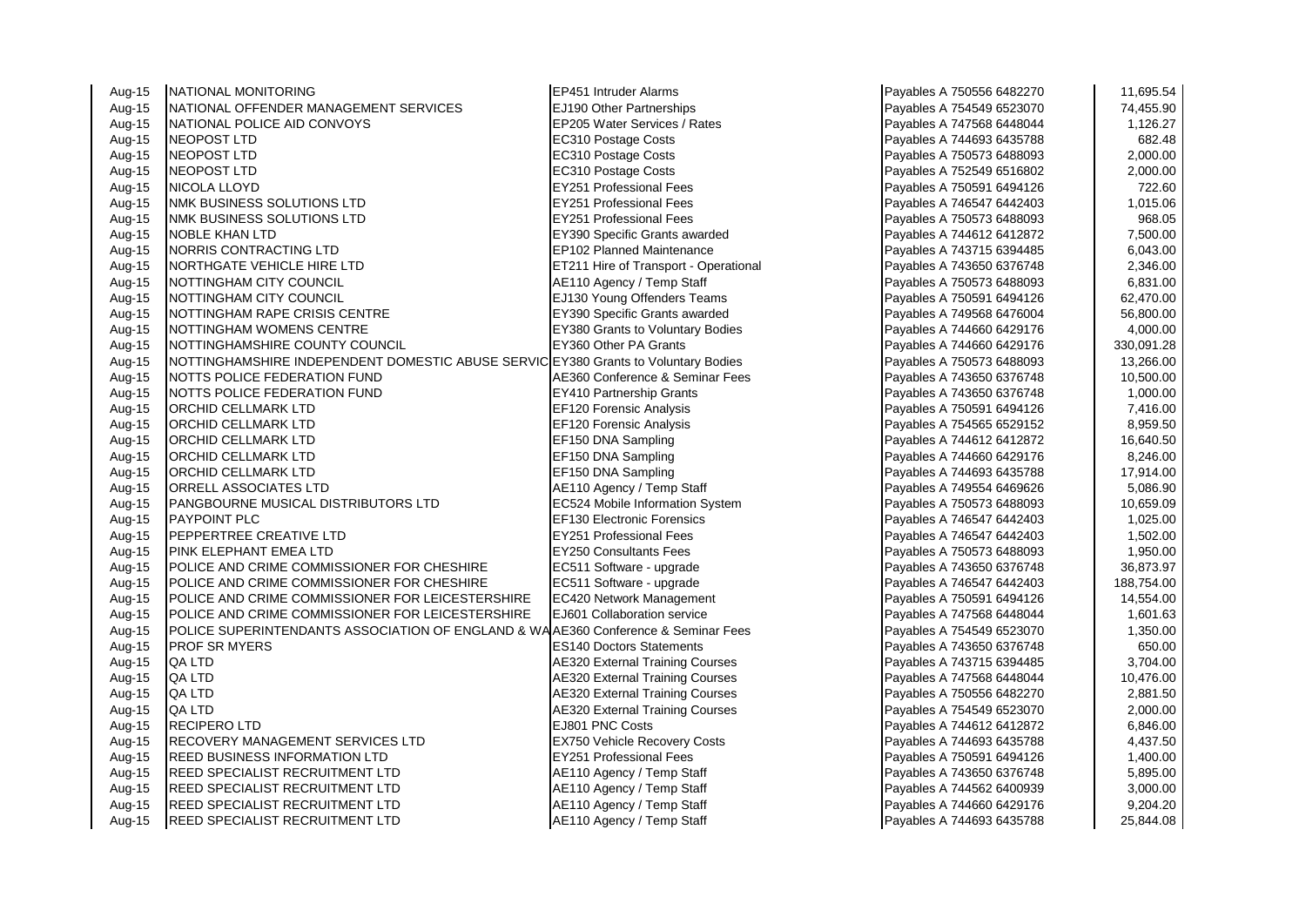| Aug-15 | NATIONAL MONITORING                                                                | <b>EP451 Intruder Alarms</b>           | Payables A 750556 6482270 | 11,695.54  |
|--------|------------------------------------------------------------------------------------|----------------------------------------|---------------------------|------------|
| Aug-15 | NATIONAL OFFENDER MANAGEMENT SERVICES                                              | <b>EJ190 Other Partnerships</b>        | Payables A 754549 6523070 | 74,455.90  |
| Aug-15 | NATIONAL POLICE AID CONVOYS                                                        | EP205 Water Services / Rates           | Payables A 747568 6448044 | 1,126.27   |
| Aug-15 | NEOPOST LTD                                                                        | EC310 Postage Costs                    | Payables A 744693 6435788 | 682.48     |
| Aug-15 | NEOPOST LTD                                                                        | EC310 Postage Costs                    | Payables A 750573 6488093 | 2,000.00   |
| Aug-15 | <b>NEOPOST LTD</b>                                                                 | EC310 Postage Costs                    | Payables A 752549 6516802 | 2,000.00   |
| Aug-15 | NICOLA LLOYD                                                                       | <b>EY251 Professional Fees</b>         | Payables A 750591 6494126 | 722.60     |
| Aug-15 | NMK BUSINESS SOLUTIONS LTD                                                         | <b>EY251 Professional Fees</b>         | Payables A 746547 6442403 | 1,015.06   |
| Aug-15 | <b>NMK BUSINESS SOLUTIONS LTD</b>                                                  | <b>EY251 Professional Fees</b>         | Payables A 750573 6488093 | 968.05     |
| Aug-15 | <b>NOBLE KHAN LTD</b>                                                              | EY390 Specific Grants awarded          | Payables A 744612 6412872 | 7,500.00   |
| Aug-15 | NORRIS CONTRACTING LTD                                                             | EP102 Planned Maintenance              | Payables A 743715 6394485 | 6,043.00   |
| Aug-15 | NORTHGATE VEHICLE HIRE LTD                                                         | ET211 Hire of Transport - Operational  | Payables A 743650 6376748 | 2,346.00   |
| Aug-15 | NOTTINGHAM CITY COUNCIL                                                            | AE110 Agency / Temp Staff              | Payables A 750573 6488093 | 6,831.00   |
| Aug-15 | NOTTINGHAM CITY COUNCIL                                                            | EJ130 Young Offenders Teams            | Payables A 750591 6494126 | 62,470.00  |
| Aug-15 | NOTTINGHAM RAPE CRISIS CENTRE                                                      | EY390 Specific Grants awarded          | Payables A 749568 6476004 | 56,800.00  |
| Aug-15 | <b>INOTTINGHAM WOMENS CENTRE</b>                                                   | EY380 Grants to Voluntary Bodies       | Payables A 744660 6429176 | 4,000.00   |
| Aug-15 | NOTTINGHAMSHIRE COUNTY COUNCIL                                                     | EY360 Other PA Grants                  | Payables A 744660 6429176 | 330,091.28 |
| Aug-15 | NOTTINGHAMSHIRE INDEPENDENT DOMESTIC ABUSE SERVIC EY380 Grants to Voluntary Bodies |                                        | Payables A 750573 6488093 | 13,266.00  |
| Aug-15 | NOTTS POLICE FEDERATION FUND                                                       | AE360 Conference & Seminar Fees        | Payables A 743650 6376748 | 10,500.00  |
| Aug-15 | NOTTS POLICE FEDERATION FUND                                                       | <b>EY410 Partnership Grants</b>        | Payables A 743650 6376748 | 1,000.00   |
| Aug-15 | <b>ORCHID CELLMARK LTD</b>                                                         | EF120 Forensic Analysis                | Payables A 750591 6494126 | 7,416.00   |
| Aug-15 | <b>ORCHID CELLMARK LTD</b>                                                         | EF120 Forensic Analysis                | Payables A 754565 6529152 | 8,959.50   |
| Aug-15 | ORCHID CELLMARK LTD                                                                | EF150 DNA Sampling                     | Payables A 744612 6412872 | 16,640.50  |
| Aug-15 | <b>ORCHID CELLMARK LTD</b>                                                         | EF150 DNA Sampling                     | Payables A 744660 6429176 | 8,246.00   |
| Aug-15 | <b>ORCHID CELLMARK LTD</b>                                                         | EF150 DNA Sampling                     | Payables A 744693 6435788 | 17,914.00  |
| Aug-15 | ORRELL ASSOCIATES LTD                                                              | AE110 Agency / Temp Staff              | Payables A 749554 6469626 | 5,086.90   |
| Aug-15 | PANGBOURNE MUSICAL DISTRIBUTORS LTD                                                | EC524 Mobile Information System        | Payables A 750573 6488093 | 10,659.09  |
| Aug-15 | <b>PAYPOINT PLC</b>                                                                | <b>EF130 Electronic Forensics</b>      | Payables A 746547 6442403 | 1,025.00   |
| Aug-15 | PEPPERTREE CREATIVE LTD                                                            | <b>EY251 Professional Fees</b>         | Payables A 746547 6442403 | 1,502.00   |
| Aug-15 | PINK ELEPHANT EMEA LTD                                                             | <b>EY250 Consultants Fees</b>          | Payables A 750573 6488093 | 1,950.00   |
| Aug-15 | POLICE AND CRIME COMMISSIONER FOR CHESHIRE                                         | EC511 Software - upgrade               | Payables A 743650 6376748 | 36,873.97  |
| Aug-15 | POLICE AND CRIME COMMISSIONER FOR CHESHIRE                                         | EC511 Software - upgrade               | Payables A 746547 6442403 | 188,754.00 |
| Aug-15 | POLICE AND CRIME COMMISSIONER FOR LEICESTERSHIRE                                   | <b>EC420 Network Management</b>        | Payables A 750591 6494126 | 14,554.00  |
| Aug-15 | POLICE AND CRIME COMMISSIONER FOR LEICESTERSHIRE                                   | EJ601 Collaboration service            | Payables A 747568 6448044 | 1,601.63   |
| Aug-15 | POLICE SUPERINTENDANTS ASSOCIATION OF ENGLAND & WAAE360 Conference & Seminar Fees  |                                        | Payables A 754549 6523070 | 1,350.00   |
| Aug-15 | <b>PROF SR MYERS</b>                                                               | <b>ES140 Doctors Statements</b>        | Payables A 743650 6376748 | 650.00     |
| Aug-15 | QA LTD                                                                             | <b>AE320 External Training Courses</b> | Payables A 743715 6394485 | 3,704.00   |
| Aug-15 | QA LTD                                                                             | <b>AE320 External Training Courses</b> | Payables A 747568 6448044 | 10,476.00  |
| Aug-15 | QA LTD                                                                             | <b>AE320 External Training Courses</b> | Payables A 750556 6482270 | 2,881.50   |
| Aug-15 | QA LTD                                                                             | <b>AE320 External Training Courses</b> | Payables A 754549 6523070 | 2,000.00   |
| Aug-15 | <b>RECIPERO LTD</b>                                                                | EJ801 PNC Costs                        | Payables A 744612 6412872 | 6,846.00   |
| Aug-15 | <b>RECOVERY MANAGEMENT SERVICES LTD</b>                                            | <b>EX750 Vehicle Recovery Costs</b>    | Payables A 744693 6435788 | 4,437.50   |
| Aug-15 | <b>REED BUSINESS INFORMATION LTD</b>                                               | <b>EY251 Professional Fees</b>         | Payables A 750591 6494126 | 1,400.00   |
| Aug-15 | <b>REED SPECIALIST RECRUITMENT LTD</b>                                             | AE110 Agency / Temp Staff              | Payables A 743650 6376748 | 5,895.00   |
| Aug-15 | <b>REED SPECIALIST RECRUITMENT LTD</b>                                             | AE110 Agency / Temp Staff              | Payables A 744562 6400939 | 3,000.00   |
| Aug-15 | REED SPECIALIST RECRUITMENT LTD                                                    | AE110 Agency / Temp Staff              | Payables A 744660 6429176 | 9,204.20   |
| Aug-15 | <b>REED SPECIALIST RECRUITMENT LTD</b>                                             | AE110 Agency / Temp Staff              | Payables A 744693 6435788 | 25,844.08  |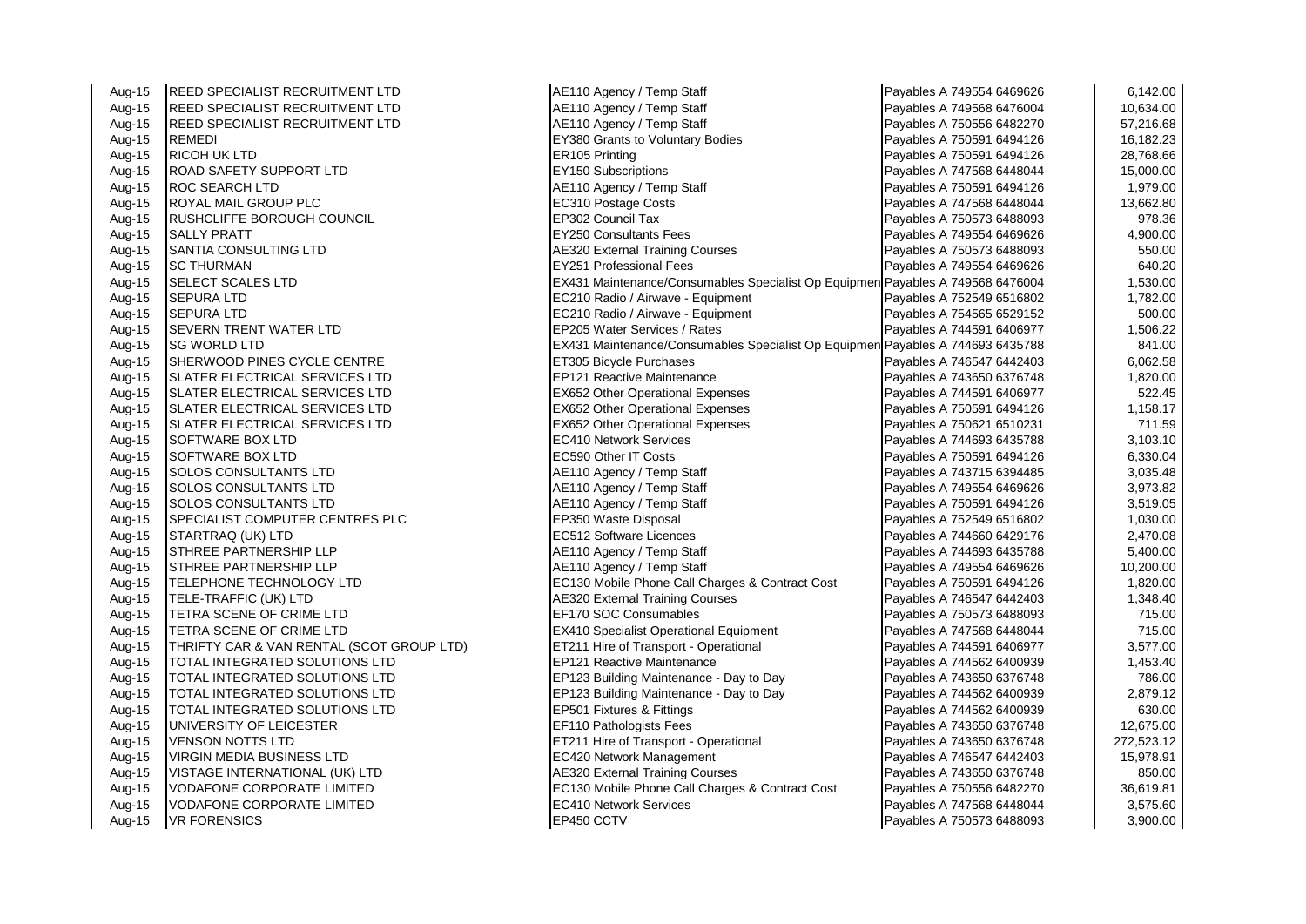| Aug-15 | <b>REED SPECIALIST RECRUITMENT LTD</b>    | AE110 Agency / Temp Staff                                                      | Payables A 749554 6469626 | 6,142.00   |
|--------|-------------------------------------------|--------------------------------------------------------------------------------|---------------------------|------------|
| Aug-15 | <b>REED SPECIALIST RECRUITMENT LTD</b>    | AE110 Agency / Temp Staff                                                      | Payables A 749568 6476004 | 10,634.00  |
| Aug-15 | REED SPECIALIST RECRUITMENT LTD           | AE110 Agency / Temp Staff                                                      | Payables A 750556 6482270 | 57,216.68  |
| Aug-15 | <b>REMEDI</b>                             | EY380 Grants to Voluntary Bodies                                               | Payables A 750591 6494126 | 16,182.23  |
| Aug-15 | <b>RICOH UK LTD</b>                       | ER105 Printing                                                                 | Payables A 750591 6494126 | 28,768.66  |
| Aug-15 | <b>ROAD SAFETY SUPPORT LTD</b>            | <b>EY150 Subscriptions</b>                                                     | Payables A 747568 6448044 | 15,000.00  |
| Aug-15 | <b>ROC SEARCH LTD</b>                     | AE110 Agency / Temp Staff                                                      | Payables A 750591 6494126 | 1,979.00   |
| Aug-15 | <b>ROYAL MAIL GROUP PLC</b>               | EC310 Postage Costs                                                            | Payables A 747568 6448044 | 13,662.80  |
| Aug-15 | RUSHCLIFFE BOROUGH COUNCIL                | EP302 Council Tax                                                              | Payables A 750573 6488093 | 978.36     |
| Aug-15 | <b>SALLY PRATT</b>                        | <b>EY250 Consultants Fees</b>                                                  | Payables A 749554 6469626 | 4,900.00   |
| Aug-15 | <b>SANTIA CONSULTING LTD</b>              | <b>AE320 External Training Courses</b>                                         | Payables A 750573 6488093 | 550.00     |
| Aug-15 | <b>SC THURMAN</b>                         | <b>EY251 Professional Fees</b>                                                 | Payables A 749554 6469626 | 640.20     |
| Aug-15 | <b>SELECT SCALES LTD</b>                  | EX431 Maintenance/Consumables Specialist Op Equipmen Payables A 749568 6476004 |                           | 1,530.00   |
| Aug-15 | <b>SEPURA LTD</b>                         | EC210 Radio / Airwave - Equipment                                              | Payables A 752549 6516802 | 1,782.00   |
| Aug-15 | <b>SEPURA LTD</b>                         | EC210 Radio / Airwave - Equipment                                              | Payables A 754565 6529152 | 500.00     |
| Aug-15 | <b>SEVERN TRENT WATER LTD</b>             | EP205 Water Services / Rates                                                   | Payables A 744591 6406977 | 1,506.22   |
| Aug-15 | <b>SG WORLD LTD</b>                       | EX431 Maintenance/Consumables Specialist Op Equipmen Payables A 744693 6435788 |                           | 841.00     |
| Aug-15 | SHERWOOD PINES CYCLE CENTRE               | ET305 Bicycle Purchases                                                        | Payables A 746547 6442403 | 6,062.58   |
| Aug-15 | SLATER ELECTRICAL SERVICES LTD            | <b>EP121 Reactive Maintenance</b>                                              | Payables A 743650 6376748 | 1,820.00   |
| Aug-15 | <b>SLATER ELECTRICAL SERVICES LTD</b>     | <b>EX652 Other Operational Expenses</b>                                        | Payables A 744591 6406977 | 522.45     |
| Aug-15 | SLATER ELECTRICAL SERVICES LTD            | <b>EX652 Other Operational Expenses</b>                                        | Payables A 750591 6494126 | 1,158.17   |
| Aug-15 | SLATER ELECTRICAL SERVICES LTD            | EX652 Other Operational Expenses                                               | Payables A 750621 6510231 | 711.59     |
| Aug-15 | <b>SOFTWARE BOX LTD</b>                   | <b>EC410 Network Services</b>                                                  | Payables A 744693 6435788 | 3,103.10   |
| Aug-15 | <b>SOFTWARE BOX LTD</b>                   | <b>EC590 Other IT Costs</b>                                                    | Payables A 750591 6494126 | 6,330.04   |
| Aug-15 | <b>SOLOS CONSULTANTS LTD</b>              | AE110 Agency / Temp Staff                                                      | Payables A 743715 6394485 | 3,035.48   |
| Aug-15 | SOLOS CONSULTANTS LTD                     | AE110 Agency / Temp Staff                                                      | Payables A 749554 6469626 | 3,973.82   |
| Aug-15 | <b>SOLOS CONSULTANTS LTD</b>              | AE110 Agency / Temp Staff                                                      | Payables A 750591 6494126 | 3,519.05   |
| Aug-15 | SPECIALIST COMPUTER CENTRES PLC           | EP350 Waste Disposal                                                           | Payables A 752549 6516802 | 1,030.00   |
| Aug-15 | STARTRAQ (UK) LTD                         | EC512 Software Licences                                                        | Payables A 744660 6429176 | 2,470.08   |
| Aug-15 | STHREE PARTNERSHIP LLP                    | AE110 Agency / Temp Staff                                                      | Payables A 744693 6435788 | 5,400.00   |
| Aug-15 | STHREE PARTNERSHIP LLP                    | AE110 Agency / Temp Staff                                                      | Payables A 749554 6469626 | 10,200.00  |
| Aug-15 | TELEPHONE TECHNOLOGY LTD                  | EC130 Mobile Phone Call Charges & Contract Cost                                | Payables A 750591 6494126 | 1,820.00   |
| Aug-15 | TELE-TRAFFIC (UK) LTD                     | <b>AE320 External Training Courses</b>                                         | Payables A 746547 6442403 | 1,348.40   |
| Aug-15 | TETRA SCENE OF CRIME LTD                  | EF170 SOC Consumables                                                          | Payables A 750573 6488093 | 715.00     |
| Aug-15 | TETRA SCENE OF CRIME LTD                  | <b>EX410 Specialist Operational Equipment</b>                                  | Payables A 747568 6448044 | 715.00     |
| Aug-15 | THRIFTY CAR & VAN RENTAL (SCOT GROUP LTD) | ET211 Hire of Transport - Operational                                          | Payables A 744591 6406977 | 3,577.00   |
| Aug-15 | TOTAL INTEGRATED SOLUTIONS LTD            | EP121 Reactive Maintenance                                                     | Payables A 744562 6400939 | 1,453.40   |
| Aug-15 | TOTAL INTEGRATED SOLUTIONS LTD            | EP123 Building Maintenance - Day to Day                                        | Payables A 743650 6376748 | 786.00     |
| Aug-15 | TOTAL INTEGRATED SOLUTIONS LTD            | EP123 Building Maintenance - Day to Day                                        | Payables A 744562 6400939 | 2,879.12   |
| Aug-15 | TOTAL INTEGRATED SOLUTIONS LTD            | EP501 Fixtures & Fittings                                                      | Payables A 744562 6400939 | 630.00     |
| Aug-15 | UNIVERSITY OF LEICESTER                   | EF110 Pathologists Fees                                                        | Payables A 743650 6376748 | 12,675.00  |
| Aug-15 | <b>VENSON NOTTS LTD</b>                   | ET211 Hire of Transport - Operational                                          | Payables A 743650 6376748 | 272,523.12 |
| Aug-15 | VIRGIN MEDIA BUSINESS LTD                 | EC420 Network Management                                                       | Payables A 746547 6442403 | 15,978.91  |
| Aug-15 | VISTAGE INTERNATIONAL (UK) LTD            | <b>AE320 External Training Courses</b>                                         | Payables A 743650 6376748 | 850.00     |
| Aug-15 | <b>VODAFONE CORPORATE LIMITED</b>         | EC130 Mobile Phone Call Charges & Contract Cost                                | Payables A 750556 6482270 | 36,619.81  |
| Aug-15 | <b>VODAFONE CORPORATE LIMITED</b>         | <b>EC410 Network Services</b>                                                  | Payables A 747568 6448044 | 3,575.60   |
| Aug-15 | <b>VR FORENSICS</b>                       | EP450 CCTV                                                                     | Payables A 750573 6488093 | 3,900.00   |